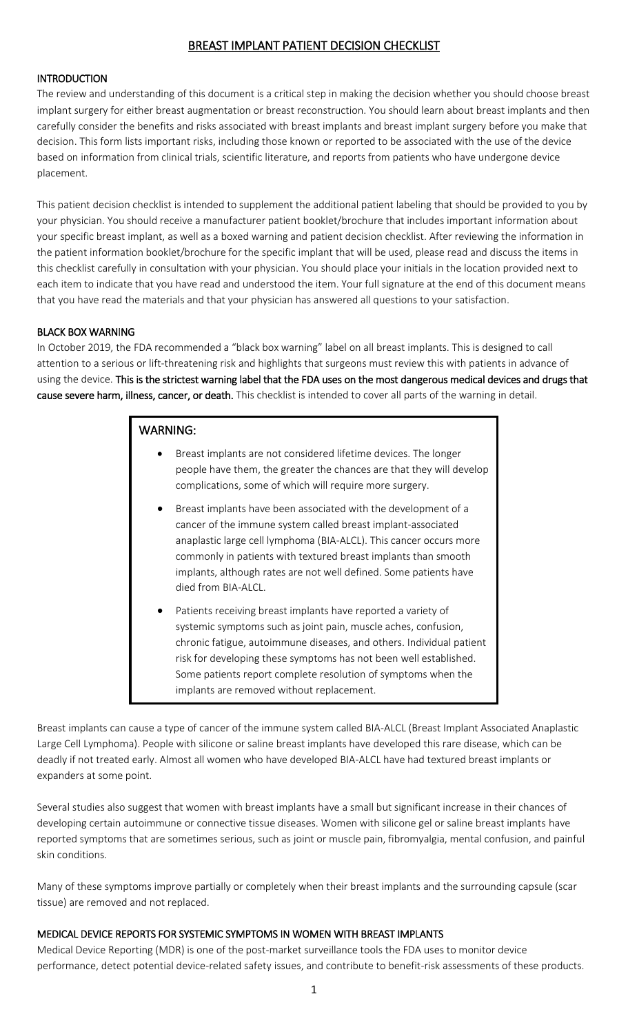# BREAST IMPLANT PATIENT DECISION CHECKLIST

# **INTRODUCTION**

The review and understanding of this document is a critical step in making the decision whether you should choose breast implant surgery for either breast augmentation or breast reconstruction. You should learn about breast implants and then carefully consider the benefits and risks associated with breast implants and breast implant surgery before you make that decision. This form lists important risks, including those known or reported to be associated with the use of the device based on information from clinical trials, scientific literature, and reports from patients who have undergone device placement.

This patient decision checklist is intended to supplement the additional patient labeling that should be provided to you by your physician. You should receive a manufacturer patient booklet/brochure that includes important information about your specific breast implant, as well as a boxed warning and patient decision checklist. After reviewing the information in the patient information booklet/brochure for the specific implant that will be used, please read and discuss the items in this checklist carefully in consultation with your physician. You should place your initials in the location provided next to each item to indicate that you have read and understood the item. Your full signature at the end of this document means that you have read the materials and that your physician has answered all questions to your satisfaction.

# BLACK BOX WARNING

In October 2019, the FDA recommended a "black box warning" label on all breast implants. This is designed to call attention to a serious or lift-threatening risk and highlights that surgeons must review this with patients in advance of using the device. This is the strictest warning label that the FDA uses on the most dangerous medical devices and drugs that cause severe harm, illness, cancer, or death. This checklist is intended to cover all parts of the warning in detail.

# WARNING:

- Breast implants are not considered lifetime devices. The longer people have them, the greater the chances are that they will develop complications, some of which will require more surgery.
- Breast implants have been associated with the development of a cancer of the immune system called breast implant-associated anaplastic large cell lymphoma (BIA-ALCL). This cancer occurs more commonly in patients with textured breast implants than smooth implants, although rates are not well defined. Some patients have died from BIA-ALCL.
- Patients receiving breast implants have reported a variety of systemic symptoms such as joint pain, muscle aches, confusion, chronic fatigue, autoimmune diseases, and others. Individual patient risk for developing these symptoms has not been well established. Some patients report complete resolution of symptoms when the implants are removed without replacement.

Breast implants can cause a type of cancer of the immune system called BIA-ALCL (Breast Implant Associated Anaplastic Large Cell Lymphoma). People with silicone or saline breast implants have developed this rare disease, which can be deadly if not treated early. Almost all women who have developed BIA-ALCL have had textured breast implants or expanders at some point.

Several studies also suggest that women with breast implants have a small but significant increase in their chances of developing certain autoimmune or connective tissue diseases. Women with silicone gel or saline breast implants have reported symptoms that are sometimes serious, such as joint or muscle pain, fibromyalgia, mental confusion, and painful skin conditions.

Many of these symptoms improve partially or completely when their breast implants and the surrounding capsule (scar tissue) are removed and not replaced.

# MEDICAL DEVICE REPORTS FOR SYSTEMIC SYMPTOMS IN WOMEN WITH BREAST IMPLANTS

Medical Device Reporting (MDR) is one of the post-market surveillance tools the FDA uses to monitor device performance, detect potential device-related safety issues, and contribute to benefit-risk assessments of these products.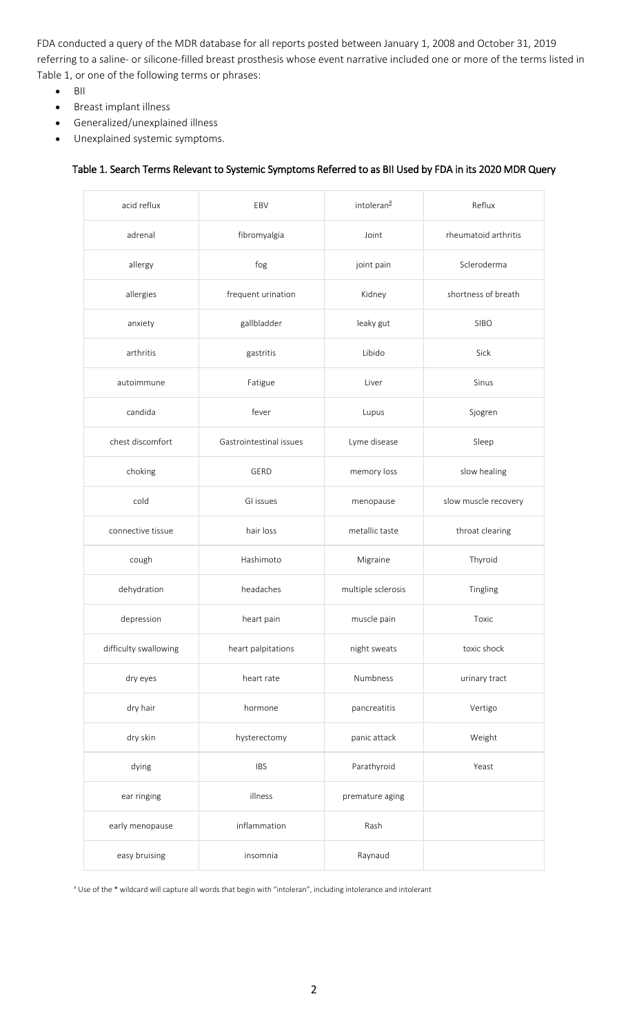FDA conducted a query of the MDR database for all reports posted between January 1, 2008 and October 31, 2019 referring to a saline- or silicone-filled breast prosthesis whose event narrative included one or more of the terms listed in Table 1, or one of the following terms or phrases:

- $\bullet$  BII
- Breast implant illness
- Generalized/unexplained illness
- Unexplained systemic symptoms.

## Table 1. Search Terms Relevant to Systemic Symptoms Referred to as BII Used by FDA in its 2020 MDR Query

| acid reflux           | EBV                     | intoleran <sup>a</sup> | Reflux               |
|-----------------------|-------------------------|------------------------|----------------------|
| adrenal               | fibromyalgia            | Joint                  | rheumatoid arthritis |
| allergy               | fog                     | joint pain             | Scleroderma          |
| allergies             | frequent urination      | Kidney                 | shortness of breath  |
| anxiety               | gallbladder             | leaky gut              | <b>SIBO</b>          |
| arthritis             | gastritis               | Libido                 | Sick                 |
| autoimmune            | Fatigue                 | Liver                  | Sinus                |
| candida               | fever                   | Lupus                  | Sjogren              |
| chest discomfort      | Gastrointestinal issues | Lyme disease           | Sleep                |
| choking               | GERD                    | memory loss            | slow healing         |
| cold                  | GI issues               | menopause              | slow muscle recovery |
| connective tissue     | hair loss               | metallic taste         | throat clearing      |
| cough                 | Hashimoto               | Migraine               | Thyroid              |
| dehydration           | headaches               | multiple sclerosis     | Tingling             |
| depression            | heart pain              | muscle pain            | Toxic                |
| difficulty swallowing | heart palpitations      | night sweats           | toxic shock          |
| dry eyes              | heart rate              | Numbness               | urinary tract        |
| dry hair              | hormone                 | pancreatitis           | Vertigo              |
| dry skin              | hysterectomy            | panic attack           | Weight               |
| dying                 | <b>IBS</b>              | Parathyroid            | Yeast                |
| ear ringing           | illness                 | premature aging        |                      |
| early menopause       | inflammation            | Rash                   |                      |
| easy bruising         | insomnia                | Raynaud                |                      |

 $^{\text{a}}$  Use of the  $^*$  wildcard will capture all words that begin with "intoleran", including intolerance and intolerant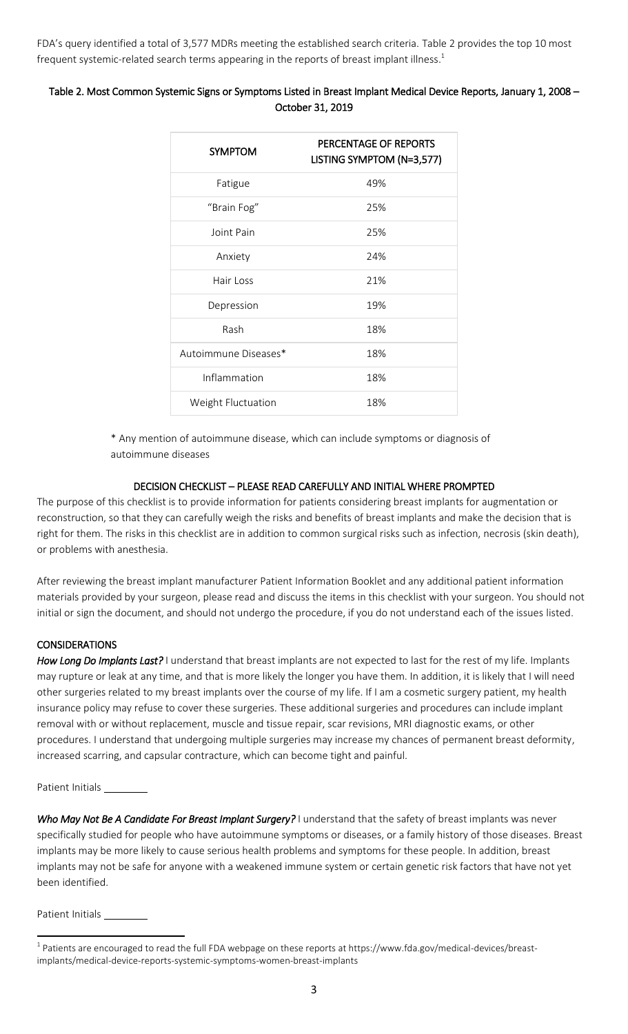FDA's query identified a total of 3,577 MDRs meeting the established search criteria. Table 2 provides the top 10 most frequent systemic-related search terms appearing in the reports of breast implant illness. $^{\rm 1}$ 

# Table 2. Most Common Systemic Signs or Symptoms Listed in Breast Implant Medical Device Reports, January 1, 2008 – October 31, 2019

| <b>SYMPTOM</b>       | PERCENTAGE OF REPORTS<br>LISTING SYMPTOM (N=3,577) |
|----------------------|----------------------------------------------------|
| Fatigue              | 49%                                                |
| "Brain Fog"          | 25%                                                |
| Joint Pain           | 25%                                                |
| Anxiety              | 24%                                                |
| Hair Loss            | 21%                                                |
| Depression           | 19%                                                |
| Rash                 | 18%                                                |
| Autoimmune Diseases* | 18%                                                |
| Inflammation         | 18%                                                |
| Weight Fluctuation   | 18%                                                |

\* Any mention of autoimmune disease, which can include symptoms or diagnosis of autoimmune diseases

# DECISION CHECKLIST – PLEASE READ CAREFULLY AND INITIAL WHERE PROMPTED

The purpose of this checklist is to provide information for patients considering breast implants for augmentation or reconstruction, so that they can carefully weigh the risks and benefits of breast implants and make the decision that is right for them. The risks in this checklist are in addition to common surgical risks such as infection, necrosis (skin death), or problems with anesthesia.

After reviewing the breast implant manufacturer Patient Information Booklet and any additional patient information materials provided by your surgeon, please read and discuss the items in this checklist with your surgeon. You should not initial or sign the document, and should not undergo the procedure, if you do not understand each of the issues listed.

# **CONSIDERATIONS**

*How Long Do Implants Last?* I understand that breast implants are not expected to last for the rest of my life. Implants may rupture or leak at any time, and that is more likely the longer you have them. In addition, it is likely that I will need other surgeries related to my breast implants over the course of my life. If I am a cosmetic surgery patient, my health insurance policy may refuse to cover these surgeries. These additional surgeries and procedures can include implant removal with or without replacement, muscle and tissue repair, scar revisions, MRI diagnostic exams, or other procedures. I understand that undergoing multiple surgeries may increase my chances of permanent breast deformity, increased scarring, and capsular contracture, which can become tight and painful.

Patient Initials \_\_

*Who May Not Be A Candidate For Breast Implant Surgery?* I understand that the safety of breast implants was never specifically studied for people who have autoimmune symptoms or diseases, or a family history of those diseases. Breast implants may be more likely to cause serious health problems and symptoms for these people. In addition, breast implants may not be safe for anyone with a weakened immune system or certain genetic risk factors that have not yet been identified.

Patient Initials \_

 $\overline{a}$ 

 $^{\rm 1}$  Patients are encouraged to read the full FDA webpage on these reports at https://www.fda.gov/medical-devices/breastimplants/medical-device-reports-systemic-symptoms-women-breast-implants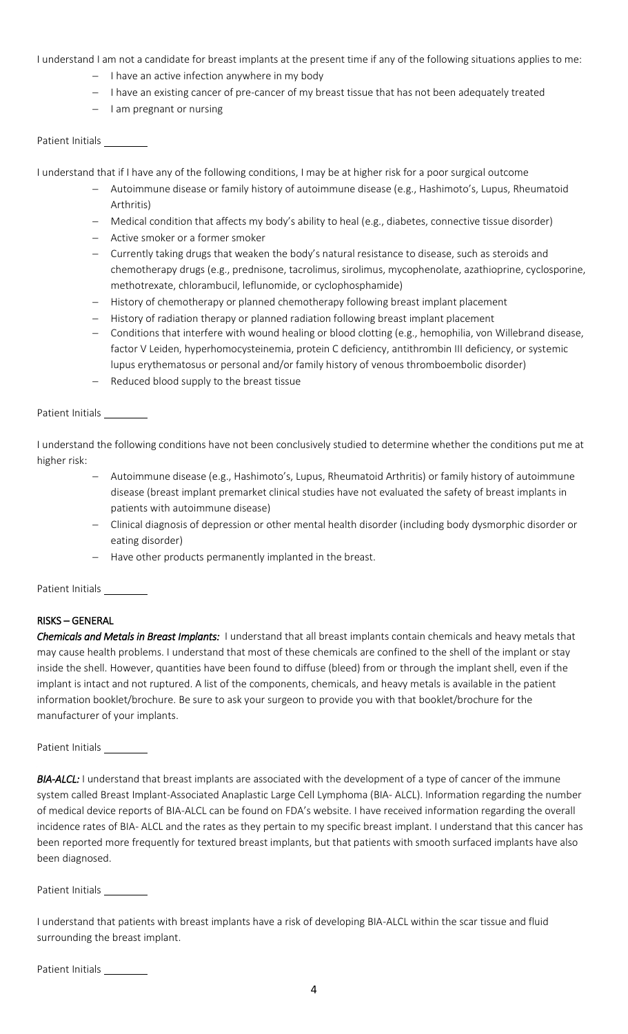I understand I am not a candidate for breast implants at the present time if any of the following situations applies to me:

- $-$  I have an active infection anywhere in my body
- I have an existing cancer of pre-cancer of my breast tissue that has not been adequately treated
- $-$  lam pregnant or nursing

## Patient Initials

I understand that if I have any of the following conditions, I may be at higher risk for a poor surgical outcome

- Autoimmune disease or family history of autoimmune disease (e.g., Hashimoto's, Lupus, Rheumatoid Arthritis)
- Medical condition that affects my body's ability to heal (e.g., diabetes, connective tissue disorder)
- Active smoker or a former smoker
- Currently taking drugs that weaken the body's natural resistance to disease, such as steroids and chemotherapy drugs (e.g., prednisone, tacrolimus, sirolimus, mycophenolate, azathioprine, cyclosporine, methotrexate, chlorambucil, leflunomide, or cyclophosphamide)
- History of chemotherapy or planned chemotherapy following breast implant placement
- History of radiation therapy or planned radiation following breast implant placement
- Conditions that interfere with wound healing or blood clotting (e.g., hemophilia, von Willebrand disease, factor V Leiden, hyperhomocysteinemia, protein C deficiency, antithrombin III deficiency, or systemic lupus erythematosus or personal and/or family history of venous thromboembolic disorder)
- Reduced blood supply to the breast tissue

# Patient Initials

I understand the following conditions have not been conclusively studied to determine whether the conditions put me at higher risk:

- Autoimmune disease (e.g., Hashimoto's, Lupus, Rheumatoid Arthritis) or family history of autoimmune disease (breast implant premarket clinical studies have not evaluated the safety of breast implants in patients with autoimmune disease)
- Clinical diagnosis of depression or other mental health disorder (including body dysmorphic disorder or eating disorder)
- Have other products permanently implanted in the breast.

Patient Initials

# RISKS – GENERAL

*Chemicals and Metals in Breast Implants:* I understand that all breast implants contain chemicals and heavy metals that may cause health problems. I understand that most of these chemicals are confined to the shell of the implant or stay inside the shell. However, quantities have been found to diffuse (bleed) from or through the implant shell, even if the implant is intact and not ruptured. A list of the components, chemicals, and heavy metals is available in the patient information booklet/brochure. Be sure to ask your surgeon to provide you with that booklet/brochure for the manufacturer of your implants.

Patient Initials

*BIA-ALCL:* I understand that breast implants are associated with the development of a type of cancer of the immune system called Breast Implant-Associated Anaplastic Large Cell Lymphoma (BIA- ALCL). Information regarding the number of medical device reports of BIA-ALCL can be found on FDA's website. I have received information regarding the overall incidence rates of BIA- ALCL and the rates as they pertain to my specific breast implant. I understand that this cancer has been reported more frequently for textured breast implants, but that patients with smooth surfaced implants have also been diagnosed.

Patient Initials

I understand that patients with breast implants have a risk of developing BIA-ALCL within the scar tissue and fluid surrounding the breast implant.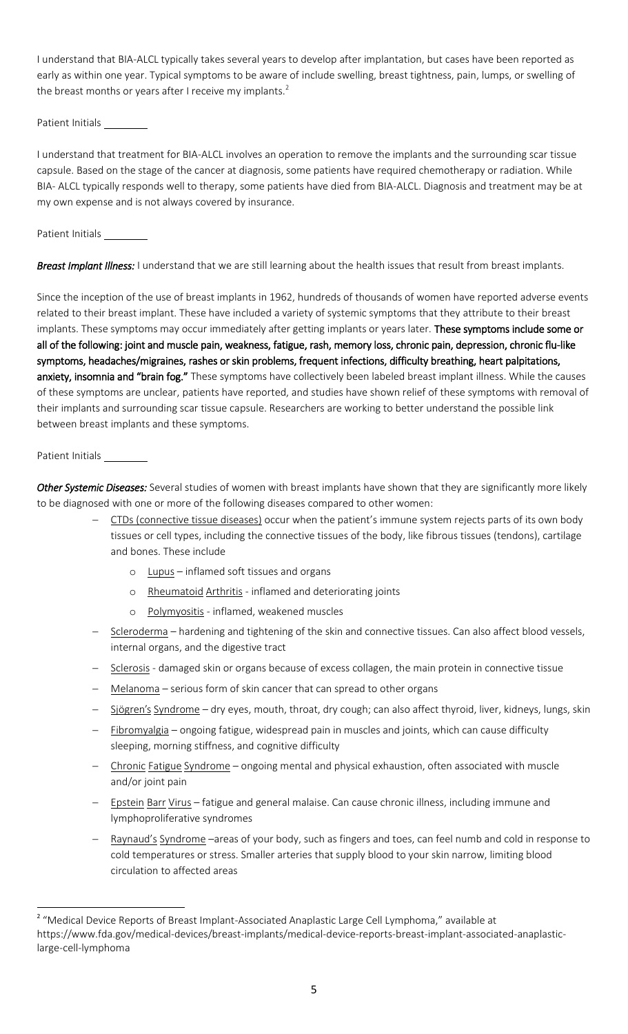I understand that BIA-ALCL typically takes several years to develop after implantation, but cases have been reported as early as within one year. Typical symptoms to be aware of include swelling, breast tightness, pain, lumps, or swelling of the breast months or years after I receive my implants.<sup>2</sup>

Patient Initials

I understand that treatment for BIA-ALCL involves an operation to remove the implants and the surrounding scar tissue capsule. Based on the stage of the cancer at diagnosis, some patients have required chemotherapy or radiation. While BIA- ALCL typically responds well to therapy, some patients have died from BIA-ALCL. Diagnosis and treatment may be at my own expense and is not always covered by insurance.

Patient Initials

*Breast Implant Illness:* I understand that we are still learning about the health issues that result from breast implants.

Since the inception of the use of breast implants in 1962, hundreds of thousands of women have reported adverse events related to their breast implant. These have included a variety of systemic symptoms that they attribute to their breast implants. These symptoms may occur immediately after getting implants or years later. These symptoms include some or all of the following: joint and muscle pain, weakness, fatigue, rash, memory loss, chronic pain, depression, chronic flu-like symptoms, headaches/migraines, rashes or skin problems, frequent infections, difficulty breathing, heart palpitations, anxiety, insomnia and "brain fog." These symptoms have collectively been labeled breast implant illness. While the causes of these symptoms are unclear, patients have reported, and studies have shown relief of these symptoms with removal of their implants and surrounding scar tissue capsule. Researchers are working to better understand the possible link between breast implants and these symptoms.

## Patient Initials

 $\overline{a}$ 

*Other Systemic Diseases:* Several studies of women with breast implants have shown that they are significantly more likely to be diagnosed with one or more of the following diseases compared to other women:

- CTDs (connective tissue diseases) occur when the patient's immune system rejects parts of its own body tissues or cell types, including the connective tissues of the body, like fibrous tissues (tendons), cartilage and bones. These include
	- o Lupus inflamed soft tissues and organs
	- o Rheumatoid Arthritis inflamed and deteriorating joints
	- o Polymyositis inflamed, weakened muscles
- Scleroderma hardening and tightening of the skin and connective tissues. Can also affect blood vessels, internal organs, and the digestive tract
- Sclerosis damaged skin or organs because of excess collagen, the main protein in connective tissue
- Melanoma serious form of skin cancer that can spread to other organs
- Sjögren's Syndrome dry eyes, mouth, throat, dry cough; can also affect thyroid, liver, kidneys, lungs, skin
- Fibromyalgia ongoing fatigue, widespread pain in muscles and joints, which can cause difficulty sleeping, morning stiffness, and cognitive difficulty
- Chronic Fatigue Syndrome ongoing mental and physical exhaustion, often associated with muscle and/or joint pain
- $-$  Epstein Barr Virus fatigue and general malaise. Can cause chronic illness, including immune and lymphoproliferative syndromes
- Raynaud's Syndrome –areas of your body, such as fingers and toes, can feel numb and cold in response to cold temperatures or stress. Smaller arteries that supply blood to your skin narrow, limiting blood circulation to affected areas

<sup>&</sup>lt;sup>2</sup> "Medical Device Reports of Breast Implant-Associated Anaplastic Large Cell Lymphoma," available at https://www.fda.gov/medical-devices/breast-implants/medical-device-reports-breast-implant-associated-anaplasticlarge-cell-lymphoma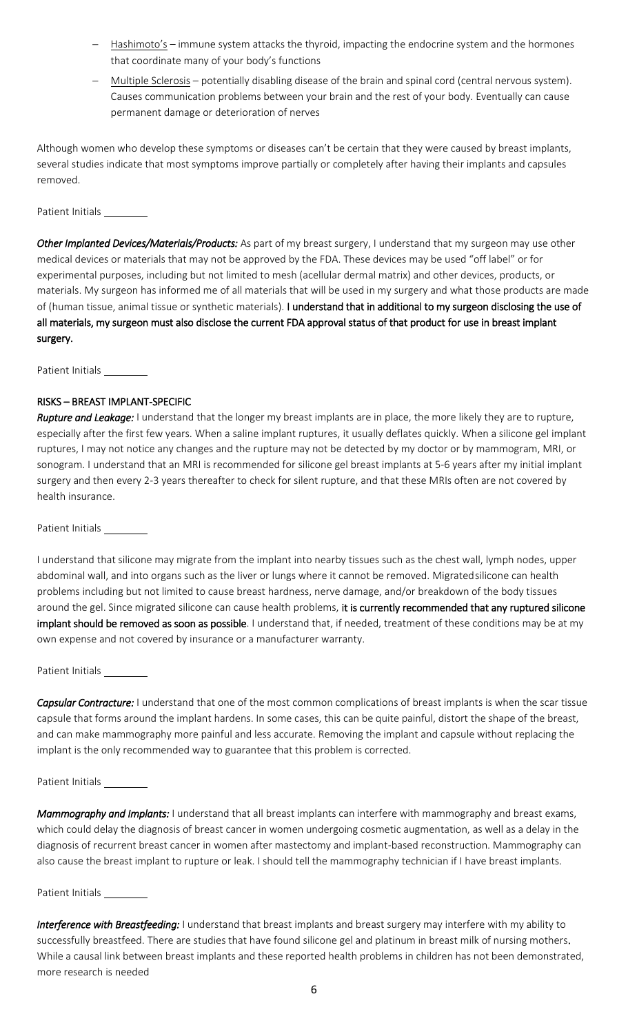- $-$  Hashimoto's immune system attacks the thyroid, impacting the endocrine system and the hormones that coordinate many of your body's functions
- Multiple Sclerosis potentially disabling disease of the brain and spinal cord (central nervous system). Causes communication problems between your brain and the rest of your body. Eventually can cause permanent damage or deterioration of nerves

Although women who develop these symptoms or diseases can't be certain that they were caused by breast implants, several studies indicate that most symptoms improve partially or completely after having their implants and capsules removed.

Patient Initials

*Other Implanted Devices/Materials/Products:* As part of my breast surgery, I understand that my surgeon may use other medical devices or materials that may not be approved by the FDA. These devices may be used "off label" or for experimental purposes, including but not limited to mesh (acellular dermal matrix) and other devices, products, or materials. My surgeon has informed me of all materials that will be used in my surgery and what those products are made of (human tissue, animal tissue or synthetic materials). I understand that in additional to my surgeon disclosing the use of all materials, my surgeon must also disclose the current FDA approval status of that product for use in breast implant surgery.

Patient Initials \_

## RISKS – BREAST IMPLANT-SPECIFIC

*Rupture and Leakage:* I understand that the longer my breast implants are in place, the more likely they are to rupture, especially after the first few years. When a saline implant ruptures, it usually deflates quickly. When a silicone gel implant ruptures, I may not notice any changes and the rupture may not be detected by my doctor or by mammogram, MRI, or sonogram. I understand that an MRI is recommended for silicone gel breast implants at 5-6 years after my initial implant surgery and then every 2-3 years thereafter to check for silent rupture, and that these MRIs often are not covered by health insurance.

Patient Initials

I understand that silicone may migrate from the implant into nearby tissues such as the chest wall, lymph nodes, upper abdominal wall, and into organs such as the liver or lungs where it cannot be removed. Migratedsilicone can health problems including but not limited to cause breast hardness, nerve damage, and/or breakdown of the body tissues around the gel. Since migrated silicone can cause health problems, it is currently recommended that any ruptured silicone implant should be removed as soon as possible. I understand that, if needed, treatment of these conditions may be at my own expense and not covered by insurance or a manufacturer warranty.

Patient Initials \_

*Capsular Contracture:* I understand that one of the most common complications of breast implants is when the scar tissue capsule that forms around the implant hardens. In some cases, this can be quite painful, distort the shape of the breast, and can make mammography more painful and less accurate. Removing the implant and capsule without replacing the implant is the only recommended way to guarantee that this problem is corrected.

#### Patient Initials

*Mammography and Implants:* I understand that all breast implants can interfere with mammography and breast exams, which could delay the diagnosis of breast cancer in women undergoing cosmetic augmentation, as well as a delay in the diagnosis of recurrent breast cancer in women after mastectomy and implant-based reconstruction. Mammography can also cause the breast implant to rupture or leak. I should tell the mammography technician if I have breast implants.

Patient Initials

*Interference with Breastfeeding:* I understand that breast implants and breast surgery may interfere with my ability to successfully breastfeed. There are studies that have found silicone gel and platinum in breast milk of nursing mothers. While a causal link between breast implants and these reported health problems in children has not been demonstrated, more research is needed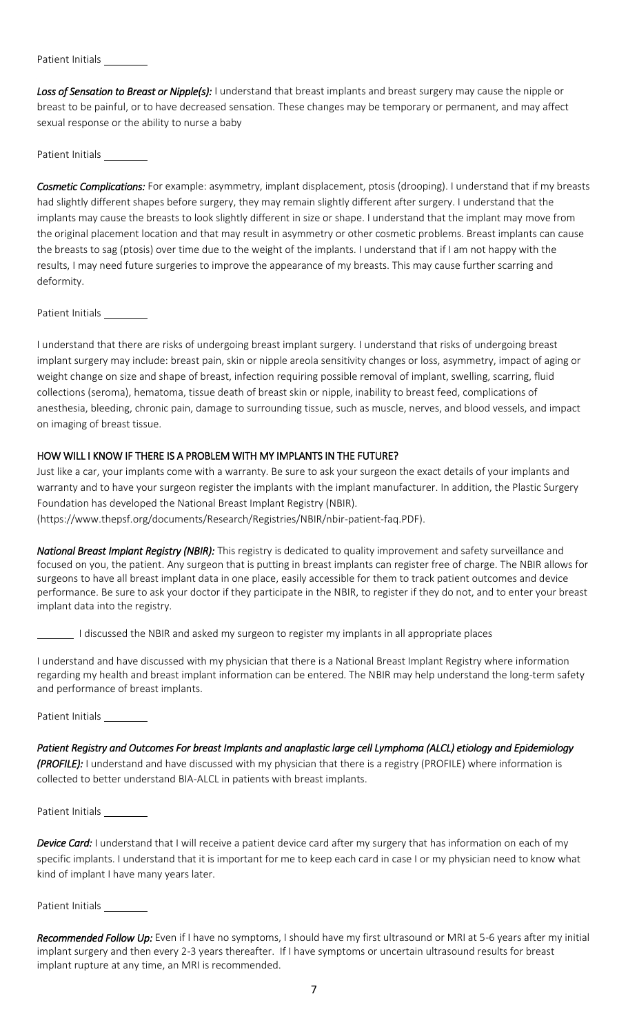Patient Initials

Loss of Sensation to Breast or Nipple(s): I understand that breast implants and breast surgery may cause the nipple or breast to be painful, or to have decreased sensation. These changes may be temporary or permanent, and may affect sexual response or the ability to nurse a baby

Patient Initials

*Cosmetic Complications:* For example: asymmetry, implant displacement, ptosis (drooping). I understand that if my breasts had slightly different shapes before surgery, they may remain slightly different after surgery. I understand that the implants may cause the breasts to look slightly different in size or shape. I understand that the implant may move from the original placement location and that may result in asymmetry or other cosmetic problems. Breast implants can cause the breasts to sag (ptosis) over time due to the weight of the implants. I understand that if I am not happy with the results, I may need future surgeries to improve the appearance of my breasts. This may cause further scarring and deformity.

Patient Initials \_

I understand that there are risks of undergoing breast implant surgery. I understand that risks of undergoing breast implant surgery may include: breast pain, skin or nipple areola sensitivity changes or loss, asymmetry, impact of aging or weight change on size and shape of breast, infection requiring possible removal of implant, swelling, scarring, fluid collections (seroma), hematoma, tissue death of breast skin or nipple, inability to breast feed, complications of anesthesia, bleeding, chronic pain, damage to surrounding tissue, such as muscle, nerves, and blood vessels, and impact on imaging of breast tissue.

## HOW WILL I KNOW IF THERE IS A PROBLEM WITH MY IMPLANTS IN THE FUTURE?

Just like a car, your implants come with a warranty. Be sure to ask your surgeon the exact details of your implants and warranty and to have your surgeon register the implants with the implant manufacturer. In addition, the Plastic Surgery Foundation has developed the National Breast Implant Registry (NBIR).

(https://www.thepsf.org/documents/Research/Registries/NBIR/nbir-patient-faq.PDF).

*National Breast Implant Registry (NBIR):* This registry is dedicated to quality improvement and safety surveillance and focused on you, the patient. Any surgeon that is putting in breast implants can register free of charge. The NBIR allows for surgeons to have all breast implant data in one place, easily accessible for them to track patient outcomes and device performance. Be sure to ask your doctor if they participate in the NBIR, to register if they do not, and to enter your breast implant data into the registry.

I discussed the NBIR and asked my surgeon to register my implants in all appropriate places

I understand and have discussed with my physician that there is a National Breast Implant Registry where information regarding my health and breast implant information can be entered. The NBIR may help understand the long-term safety and performance of breast implants.

Patient Initials \_\_\_\_\_\_

*Patient Registry and Outcomes For breast Implants and anaplastic large cell Lymphoma (ALCL) etiology and Epidemiology (PROFILE):* I understand and have discussed with my physician that there is a registry (PROFILE) where information is collected to better understand BIA-ALCL in patients with breast implants.

Patient Initials

*Device Card:* I understand that I will receive a patient device card after my surgery that has information on each of my specific implants. I understand that it is important for me to keep each card in case I or my physician need to know what kind of implant I have many years later.

Patient Initials

*Recommended Follow Up:* Even if I have no symptoms, I should have my first ultrasound or MRI at 5-6 years after my initial implant surgery and then every 2-3 years thereafter. If I have symptoms or uncertain ultrasound results for breast implant rupture at any time, an MRI is recommended.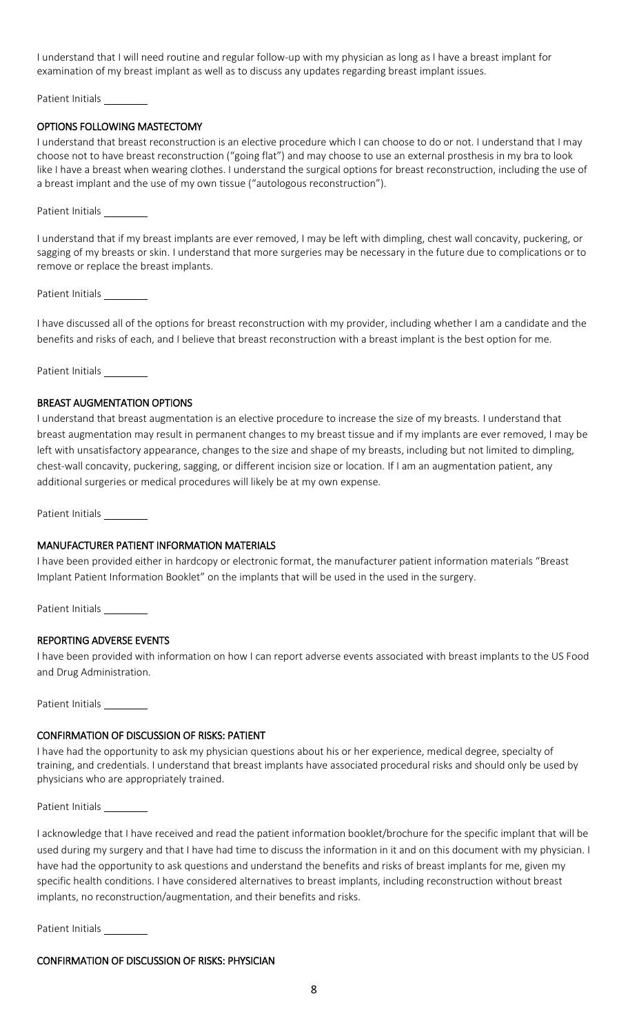I understand that I will need routine and regular follow-up with my physician as long as I have a breast implant for examination of my breast implant as well as to discuss any updates regarding breast implant issues.

Patient Initials \_\_\_\_\_\_

## OPTIONS FOLLOWING MASTECTOMY

I understand that breast reconstruction is an elective procedure which I can choose to do or not. I understand that I may choose not to have breast reconstruction ("going flat") and may choose to use an external prosthesis in my bra to look like I have a breast when wearing clothes. I understand the surgical options for breast reconstruction, including the use of a breast implant and the use of my own tissue ("autologous reconstruction").

Patient Initials

I understand that if my breast implants are ever removed, I may be left with dimpling, chest wall concavity, puckering, or sagging of my breasts or skin. I understand that more surgeries may be necessary in the future due to complications or to remove or replace the breast implants.

Patient Initials

I have discussed all of the options for breast reconstruction with my provider, including whether I am a candidate and the benefits and risks of each, and I believe that breast reconstruction with a breast implant is the best option for me.

Patient Initials

#### BREAST AUGMENTATION OPTIONS

I understand that breast augmentation is an elective procedure to increase the size of my breasts. I understand that breast augmentation may result in permanent changes to my breast tissue and if my implants are ever removed, I may be left with unsatisfactory appearance, changes to the size and shape of my breasts, including but not limited to dimpling, chest-wall concavity, puckering, sagging, or different incision size or location. If I am an augmentation patient, any additional surgeries or medical procedures will likely be at my own expense.

Patient Initials

#### MANUFACTURER PATIENT INFORMATION MATERIALS

I have been provided either in hardcopy or electronic format, the manufacturer patient information materials "Breast Implant Patient Information Booklet" on the implants that will be used in the used in the surgery.

Patient Initials

#### REPORTING ADVERSE EVENTS

I have been provided with information on how I can report adverse events associated with breast implants to the US Food and Drug Administration.

Patient Initials

#### CONFIRMATION OF DISCUSSION OF RISKS: PATIENT

I have had the opportunity to ask my physician questions about his or her experience, medical degree, specialty of training, and credentials. I understand that breast implants have associated procedural risks and should only be used by physicians who are appropriately trained.

Patient Initials

I acknowledge that I have received and read the patient information booklet/brochure for the specific implant that will be used during my surgery and that I have had time to discuss the information in it and on this document with my physician. I have had the opportunity to ask questions and understand the benefits and risks of breast implants for me, given my specific health conditions. I have considered alternatives to breast implants, including reconstruction without breast implants, no reconstruction/augmentation, and their benefits and risks.

Patient Initials \_

#### CONFIRMATION OF DISCUSSION OF RISKS: PHYSICIAN